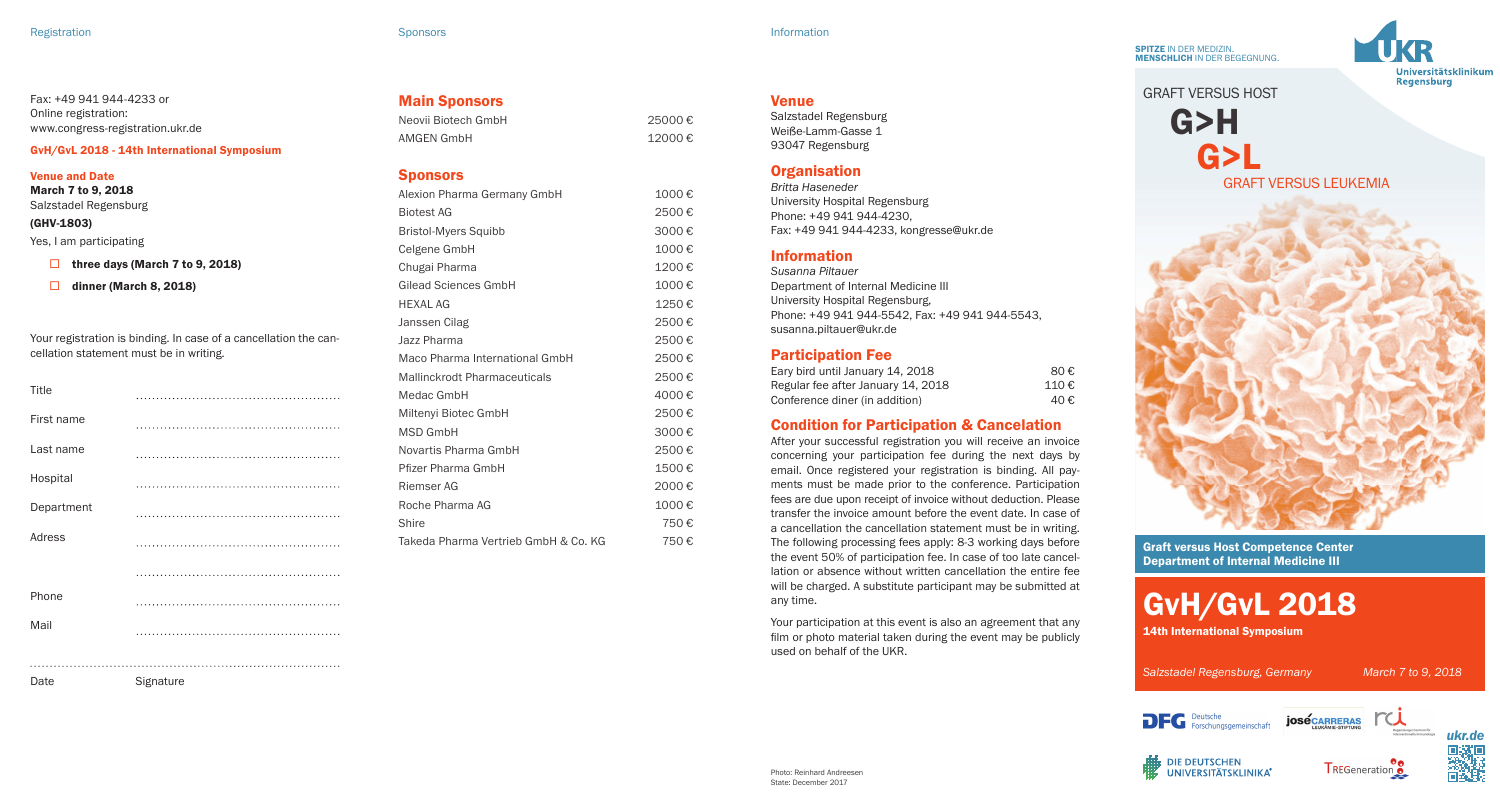SPITZE IN DER MEDIZIN. MENSCHLICH IN DER BEGEGNUNG.



GRAFT VERSUS HOST G>H G>L GRAFT VERSUS LEUKEMIA

Graft versus Host Competence Center Department of Internal Medicine III



**DIE DEUTSCHEN TREGeneration UNIVERSITÄTSKLINIKA®** 

*ukr.de*

| <b>Main Sponsors</b> |  |
|----------------------|--|
| Neovii Biotech GmbH  |  |
| AMGEN GmbH           |  |

| Alexion Pharma Germany GmbH          | 1000€ |
|--------------------------------------|-------|
| <b>Biotest AG</b>                    | 2500€ |
| <b>Bristol-Myers Squibb</b>          | 3000€ |
| Celgene GmbH                         | 1000€ |
| Chugai Pharma                        | 1200€ |
| Gilead Sciences GmbH                 | 1000€ |
| <b>HEXAL AG</b>                      | 1250€ |
| Janssen Cilag                        | 2500€ |
| Jazz Pharma                          | 2500€ |
| Maco Pharma International GmbH       | 2500€ |
| <b>Mallinckrodt Pharmaceuticals</b>  | 2500€ |
| Medac GmbH                           | 4000€ |
| Miltenyi Biotec GmbH                 | 2500€ |
| <b>MSD GmbH</b>                      | 3000€ |
| Novartis Pharma GmbH                 | 2500€ |
| Pfizer Pharma GmbH                   | 1500€ |
| Riemser AG                           | 2000€ |
| Roche Pharma AG                      | 1000€ |
| Shire                                | 750€  |
| Takeda Pharma Vertrieb GmbH & Co. KG | 750€  |
|                                      |       |

 $12000 \text{€}$ 

|         | <b>Bristol-Myers Squibb</b>          | 3000 |
|---------|--------------------------------------|------|
|         | Celgene GmbH                         | 1000 |
|         | Chugai Pharma                        | 1200 |
|         | <b>Gilead Sciences GmbH</b>          | 1000 |
|         | <b>HEXAL AG</b>                      | 1250 |
|         | Janssen Cilag                        | 2500 |
| ie can- | Jazz Pharma                          | 2500 |
|         | Maco Pharma International GmbH       | 2500 |
|         | <b>Mallinckrodt Pharmaceuticals</b>  | 2500 |
|         | Medac GmbH                           | 4000 |
|         | Miltenyi Biotec GmbH                 | 2500 |
|         | <b>MSD GmbH</b>                      | 3000 |
|         | Novartis Pharma GmbH                 | 2500 |
|         | Pfizer Pharma GmbH                   | 1500 |
|         | Riemser AG                           | 2000 |
|         | Roche Pharma AG                      | 1000 |
|         | Shire                                | 750  |
|         | Takeda Pharma Vertrieb GmbH & Co. KG | 750  |
|         |                                      |      |

GvH/GvL 2018 - 14th International Symposium

### Venue and Date

March 7 to 9, 2018 Salzstadel Regensburg

Fax: +49 941 944-4233 or Online registration:

www.congress-registration.ukr.de

## (GHV-1803)

Yes, I am participating

 $\Box$  three days (March 7 to 9, 2018)

 $\Box$  dinner (March 8, 2018)

Your registration is binding. In case of a cancellation the cellation statement must be in writing.

```
Title
First name
Last name
Hospital
Department
Adress
Phone
Mail
Date Signature
```
25000 €

*Britta Haseneder* University Hospital Regensburg Phone: +49 941 944-4230, Fax: +49 941 944-4233, kongresse@ukr.de

## Information

Venue

Salzstadel Regensburg Weiße-Lamm-Gasse 1 93047 Regensburg **Organisation** 

*Susanna Piltauer* Department of Internal Medicine III University Hospital Regensburg, Phone: +49 941 944-5542, Fax: +49 941 944-5543, susanna.piltauer@ukr.de

## Participation Fee

| Eary bird until January 14, 2018   | 80€  |
|------------------------------------|------|
| Regular fee after January 14, 2018 | 110€ |
| Conference diner (in addition)     | 40€  |

## Condition for Participation & Cancelation

After your successful registration you will receive an invoice concerning your participation fee during the next days by email. Once registered your registration is binding. All payments must be made prior to the conference. Participation fees are due upon receipt of invoice without deduction. Please transfer the invoice amount before the event date. In case of a cancellation the cancellation statement must be in writing. The following processing fees apply: 8-3 working days before the event 50% of participation fee. In case of too late cancellation or absence without written cancellation the entire fee will be charged. A substitute participant may be submitted at any time.

Your participation at this event is also an agreement that any film or photo material taken during the event may be publicly used on behalf of the UKR.

| mbH |  |  |  |
|-----|--|--|--|
|     |  |  |  |
|     |  |  |  |

# **Sponsors**